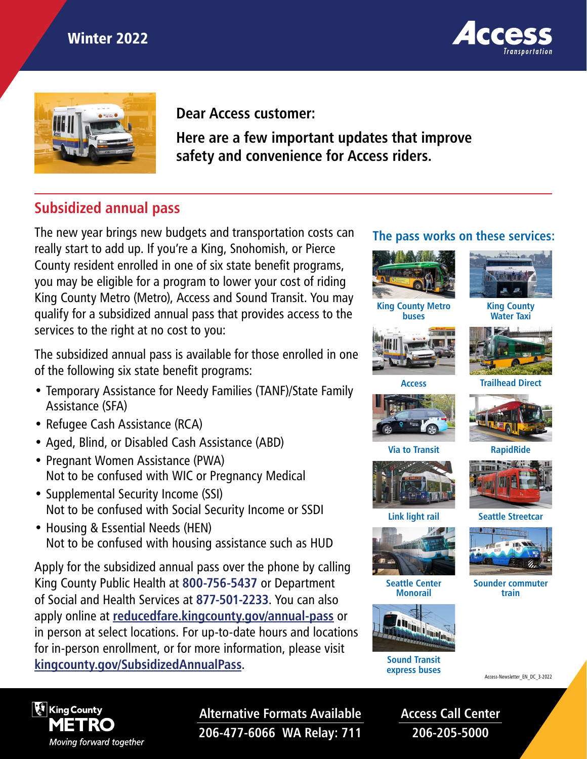



**Dear Access customer:** 

**Here are a few important updates that improve safety and convenience for Access riders.** 

# **Subsidized annual pass**

The new year brings new budgets and transportation costs can really start to add up. If you're a King, Snohomish, or Pierce County resident enrolled in one of six state benefit programs, you may be eligible for a program to lower your cost of riding King County Metro (Metro), Access and Sound Transit. You may qualify for a subsidized annual pass that provides access to the services to the right at no cost to you:

The subsidized annual pass is available for those enrolled in one of the following six state benefit programs:

- Temporary Assistance for Needy Families (TANF)/State Family Assistance (SFA)
- Refugee Cash Assistance (RCA)
- Aged, Blind, or Disabled Cash Assistance (ABD)
- Pregnant Women Assistance (PWA) Not to be confused with WIC or Pregnancy Medical
- Supplemental Security Income (SSI) Not to be confused with Social Security Income or SSDI
- Housing & Essential Needs (HEN) Not to be confused with housing assistance such as HUD

Apply for the subsidized annual pass over the phone by calling King County Public Health at **800-756-5437** or Department of Social and Health Services at **877-501-2233**. You can also apply online at **[reducedfare.kingcounty.gov/annual-pass](http://reducedfare.kingcounty.gov/annual-pass)** or in person at select locations. For up-to-date hours and locations for in-person enrollment, or for more information, please visit **[kingcounty.gov/SubsidizedAnnualPass](https://kingcounty.gov/depts/transportation/metro/fares-orca/subsidized-annual-pass.aspx).** Sound Transit

#### **The pass works on these services:**





**King County Water Taxi**



**buses**



**Access Trailhead Direct**











**Link light rail**



 **Seattle Center Monorail**



**express buses**



 **Sounder commuter train**

Access-Newsletter\_EN\_DC\_3-2022



**Alternative Formats Available 206-477-6066 WA Relay: 711**

**Access Call Center 206-205-5000**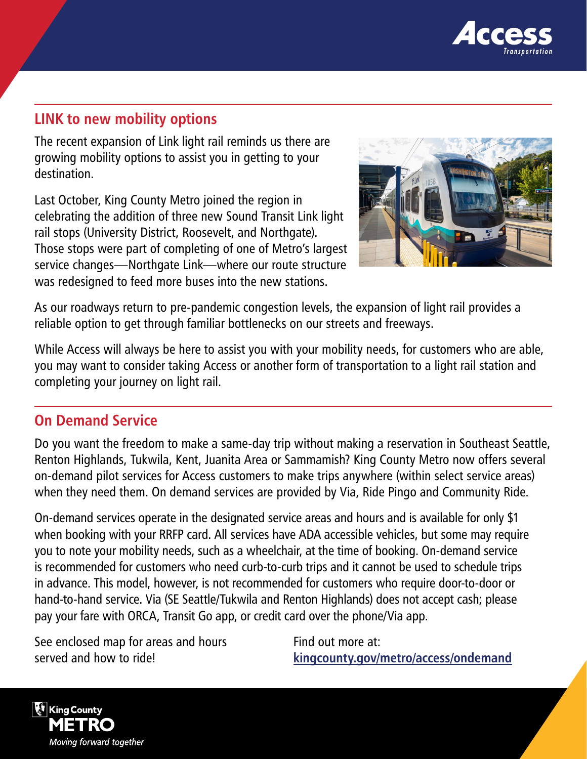

### **LINK to new mobility options**

The recent expansion of Link light rail reminds us there are growing mobility options to assist you in getting to your destination.

Last October, King County Metro joined the region in celebrating the addition of three new Sound Transit Link light rail stops (University District, Roosevelt, and Northgate). Those stops were part of completing of one of Metro's largest service changes—Northgate Link—where our route structure was redesigned to feed more buses into the new stations.



As our roadways return to pre-pandemic congestion levels, the expansion of light rail provides a reliable option to get through familiar bottlenecks on our streets and freeways.

While Access will always be here to assist you with your mobility needs, for customers who are able, you may want to consider taking Access or another form of transportation to a light rail station and completing your journey on light rail.

### **On Demand Service**

Do you want the freedom to make a same-day trip without making a reservation in Southeast Seattle, Renton Highlands, Tukwila, Kent, Juanita Area or Sammamish? King County Metro now offers several on-demand pilot services for Access customers to make trips anywhere (within select service areas) when they need them. On demand services are provided by Via, Ride Pingo and Community Ride.

On-demand services operate in the designated service areas and hours and is available for only \$1 when booking with your RRFP card. All services have ADA accessible vehicles, but some may require you to note your mobility needs, such as a wheelchair, at the time of booking. On-demand service is recommended for customers who need curb-to-curb trips and it cannot be used to schedule trips in advance. This model, however, is not recommended for customers who require door-to-door or hand-to-hand service. Via (SE Seattle/Tukwila and Renton Highlands) does not accept cash; please pay your fare with ORCA, Transit Go app, or credit card over the phone/Via app.

See enclosed map for areas and hours served and how to ride!

Find out more at: **[kingcounty.gov/metro/access/ondemand](https://kingcounty.gov/depts/transportation/metro/travel-options/accessible/programs/on-demand.aspx)**

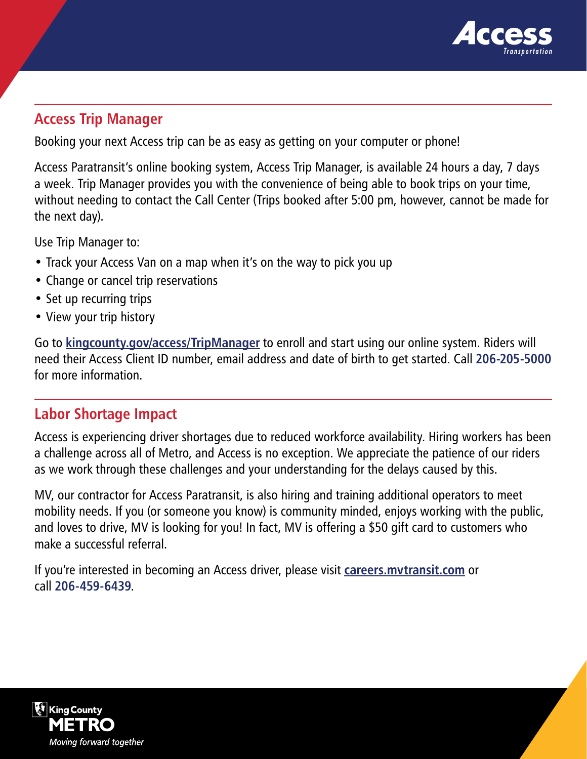

### **Access Trip Manager**

Booking your next Access trip can be as easy as getting on your computer or phone!

Access Paratransit's online booking system, Access Trip Manager, is available 24 hours a day, 7 days a week. Trip Manager provides you with the convenience of being able to book trips on your time, without needing to contact the Call Center (Trips booked after 5:00 pm, however, cannot be made for the next day).

Use Trip Manager to:

- Track your Access Van on a map when it's on the way to pick you up
- Change or cancel trip reservations
- Set up recurring trips
- View your trip history

Go to **[kingcounty.gov/access/TripManager](http://kingcounty.gov/access/TripManager)** to enroll and start using our online system. Riders will need their Access Client ID number, email address and date of birth to get started. Call **206-205-5000** for more information.

## **Labor Shortage Impact**

Access is experiencing driver shortages due to reduced workforce availability. Hiring workers has been a challenge across all of Metro, and Access is no exception. We appreciate the patience of our riders as we work through these challenges and your understanding for the delays caused by this.

MV, our contractor for Access Paratransit, is also hiring and training additional operators to meet mobility needs. If you (or someone you know) is community minded, enjoys working with the public, and loves to drive, MV is looking for you! In fact, MV is offering a \$50 gift card to customers who make a successful referral.

If you're interested in becoming an Access driver, please visit **[careers.mvtransit.com](http://careers.mvtransit.com)** or call **206-459-6439**.